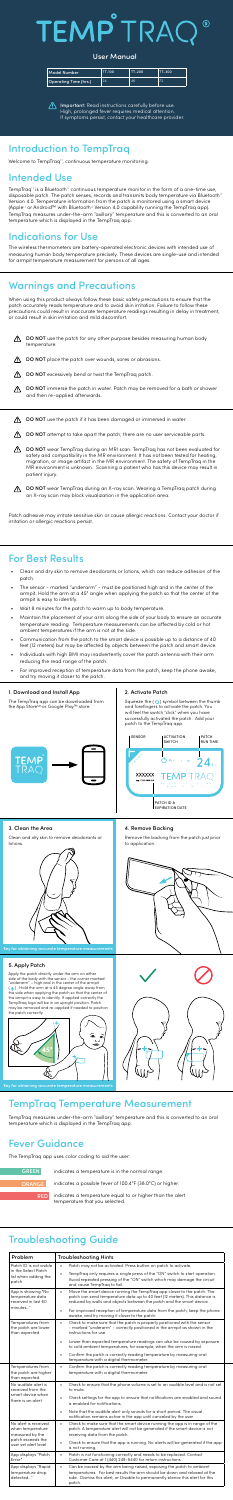### Introduction to TempTraq

Welcome to TempTraq®, continuous temperature monitoring.

### Intended Use

TempTraq® is a Bluetooth® continuous temperature monitor in the form of a one-time use, disposable patch. The patch senses, records and transmits body temperature via Bluetooth® Version 4.0. Temperature information from the patch is monitored using a smart device (Apple® or Android™ with Bluetooth® Version 4.0 capability running the TempTraq app). TempTraq measures under-the-arm "axillary" temperature and this is converted to an oral temperature which is displayed in the TempTraq app.

### Indications for Use

The wireless thermometers are battery-operated electronic devices with intended use of measuring human body temperature precisely. These devices are single-use and intended for armpit temperature measurement for persons of all ages.

### For Best Results

- Clean and dry skin to remove deodorants or lotions, which can reduce adhesion of the patch.
- The sensor marked "underarm" must be positioned high and in the center of the armpit. Hold the arm at a 45° angle when applying the patch so that the center of the armpit is easy to identify.
- Wait 8 minutes for the patch to warm up to body temperature.
- Maintain the placement of your arm along the side of your body to ensure an accurate temperature reading. Temperature measurements can be affected by cold or hot ambient temperatures if the arm is not at the side.
- Communication from the patch to the smart device is possible up to a distance of 40 feet (12 meters) but may be affected by objects between the patch and smart device.
- Individuals with high BMI may inadvertently cover the patch antenna with their arm reducing the read range of the patch.
- For improved reception of temperature data from the patch, keep the phone awake, and try moving it closer to the patch.

### Troubleshooting Guide

**indicates a temperature equal to or higher than the alert** temperature that you selected.

Important: Read instructions carefully before use. High, prolonged fever requires medical attention. If symptoms persist, contact your healthcare provider.

The TempTraq app can be downloaded from the App Store<sup>sM</sup> or Google Play™ store.

Squeeze the  $\left(\bigcup_{i=1}^{n} A_i\right)$  symbol between the thumb and forefingers to activate the patch. You will feel the switch "click" when you have successfully activated the patch. Add your patch to the TempTraq app.

| Problem                                                                                                  | <b>Troubleshooting Hints</b>                                                                                                                                                                                                                               |
|----------------------------------------------------------------------------------------------------------|------------------------------------------------------------------------------------------------------------------------------------------------------------------------------------------------------------------------------------------------------------|
| Patch ID is not visible                                                                                  | Patch may not be activated. Press button on patch to activate.<br>$\bullet$                                                                                                                                                                                |
| in the Select Patch<br>list when adding the<br>patch                                                     | TempTrag only requires a single press of the "ON" switch to start operation.<br>Avoid repeated pressing of the "ON" switch which may damage the circuit<br>and cause TempTrag to fail.                                                                     |
| App is showing "No<br>temperature data<br>received in last 60                                            | Move the smart device running the TempTrag app closer to the patch. The<br>$\bullet$<br>patch can send temperature data up to 40 feet (12 meters). This distance is<br>reduced by walls and objects between the patch and the smart device.                |
| minutes"                                                                                                 | For improved reception of temperature data from the patch, keep the phone<br>$\bullet$<br>awake, and try moving it closer to the patch.                                                                                                                    |
| Temperatures from<br>the patch are lower<br>than expected                                                | Check to make sure that the patch is properly positioned with the sensor<br>$\bullet$<br>- marked "underarm" - correctly positioned in the armpit as shown in the<br>instructions for use.                                                                 |
|                                                                                                          | Lower than expected temperature readings can also be caused by exposure<br>$\bullet$<br>to cold ambient temperatures, for example, when the arm is raised.                                                                                                 |
|                                                                                                          | Confirm the patch is correctly reading temperature by measuring oral<br>$\bullet$<br>temperature with a digital thermometer.                                                                                                                               |
| Temperatures from<br>the patch are higher<br>than expected.                                              | $\bullet$<br>Confirm the patch is correctly reading temperature by measuring oral<br>temperature with a digital thermometer.                                                                                                                               |
| No audible alert is<br>received from the<br>smart device when<br>there is an alert.                      | Check to ensure that the phone volume is set to an audible level and is not set<br>$\bullet$<br>to mute.                                                                                                                                                   |
|                                                                                                          | Check settings for the app to ensure that notifications are enabled and sound<br>$\bullet$<br>is enabled for notifications.                                                                                                                                |
|                                                                                                          | Note that the audible alert only sounds for a short period. The visual<br>$\bullet$<br>notification remains active in the app until canceled by the user.                                                                                                  |
| No alert is received<br>when temperature<br>measured by the<br>patch exceeds the<br>user set alert level | Check to make sure that the smart device running the app is in range of the<br>$\bullet$<br>patch. A temperature alert will not be generated if the smart device is not<br>receiving data from the patch.                                                  |
|                                                                                                          | Check to ensure that the app is running. No alerts will be generated if the app<br>$\bullet$<br>is not running.                                                                                                                                            |
| App displays "Patch<br>Error"                                                                            | Patch is not functioning correctly and needs to be replaced. Contact<br>$\bullet$<br>Customer Care at 1 (440) 249-5440 for return instructions.                                                                                                            |
| App displays "Rapid<br>temperature drop<br>detected"                                                     | Can be caused by the arm being raised, exposing the patch to ambient<br>$\bullet$<br>temperatures. For best results the arm should be down and relaxed at the<br>side. Dismiss this alert, or Disable to permanently silence this alert for this<br>patch. |

- $\bigwedge$  DO NOT use the patch for any other purpose besides measuring human body temperature.
- ⚠ DO NOT place the patch over wounds, sores or abrasions.
- ⚠ DO NOT excessively bend or twist the TempTraq patch.
- ⚠ DO NOT immerse the patch in water. Patch may be removed for a bath or shower and then re-applied afterwards.
- DO NOT use the patch if it has been damaged or immersed in water. ⚠
- Λ DO NOT attempt to take apart the patch; there are no user serviceable parts.
- DO NOT wear TempTraq during an MRI scan. TempTraq has not been evaluated for ⚠ safety and compatibility in the MR environment. It has not been tested for heating, migration, or image artifact in the MR environment. The safety of TempTraq in the MR environment is unknown. Scanning a patient who has this device may result in patient injury.
- ⚠ DO NOT wear TempTraq during an X-ray scan. Wearing a TempTraq patch during an X-ray scan may block visualization in the application area.

### TempTraq Temperature Measurement

TempTraq measures under-the-arm "axillary" temperature and this is converted to an oral temperature which is displayed in the TempTraq app.

### Fever Guidance

The TempTraq app uses color coding to aid the user:

indicates a temperature is in the normal range.

indicates a possible fever of 100.4°F (38.0°C) or higher.

GREEN

ORANGE

| Model Number          | <b>TT-100</b> | TT-200 | TT-300 |
|-----------------------|---------------|--------|--------|
| Operating Time (hrs.) | 24            | 48     | 72     |

### TRAC TEMP  $\circledR$

#### User Manual

## Warnings and Precautions

When using this product always follow these basic safety precautions to ensure that the patch accurately reads temperature and to avoid skin irritation. Failure to follow these precautions could result in inaccurate temperature readings resulting in delay in treatment, or could result in skin irritation and mild discomfort.

#### 1. Download and Install App

#### 2. Activate Patch



#### 3. Clean the Area

Clean and dry skin to remove deodorants or lotions.



#### 4. Remove Backing

Remove the backing from the patch just prior to application.





Key for obtaining accurate temperature measurements

#### 5. Apply Patch

Apply the patch directly under the arm on either side of the body with the sensor - the corner marked "underarm" – high and in the center of the armpit  $\leftarrow$  ) . Hold the arm at a 45 degree angle away from the side when applying the patch so that the center of the armpit is easy to identify. If applied correctly the TempTraq logo will be in an upright position. Patch may be removed and re-applied if needed to position the patch correctly.



Key for obtaining accurate temperature measurement

Patch adhesive may irritate sensitive skin or cause allergic reactions. Contact your doctor if irritation or allergic reactions persist.